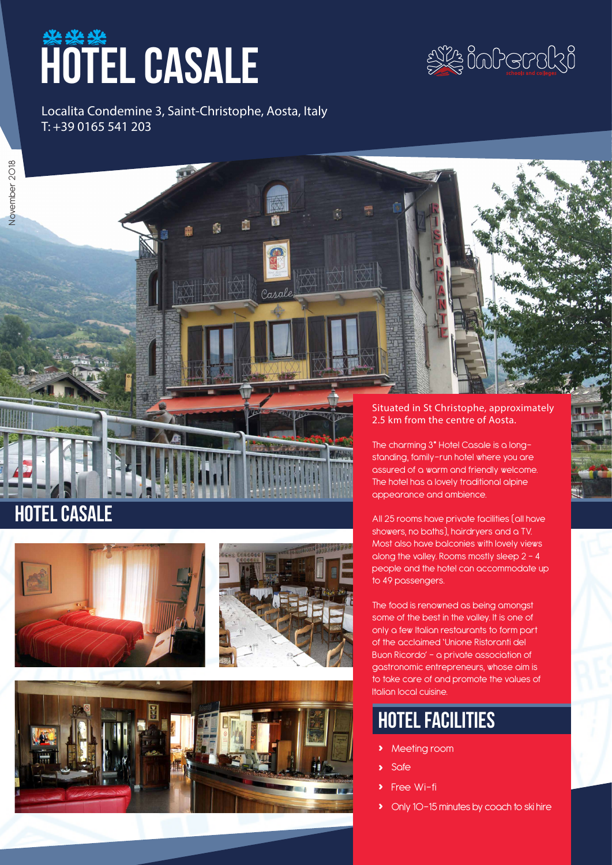# **HOTEL CASALE**



Localita Condemine 3, Saint-Christophe, Aosta, Italy T: +39 0165 541 203







rasal



#### Situated in St Christophe, approximately 2.5 km from the centre of Aosta.

The charming 3\* Hotel Casale is a longstanding, family-run hotel where you are assured of a warm and friendly welcome. The hotel has a lovely traditional alpine appearance and ambience.

All 25 rooms have private facilities (all have showers, no baths), hairdryers and a TV. Most also have balconies with lovely views along the valley. Rooms mostly sleep 2 – 4 people and the hotel can accommodate up to 49 passengers.

The food is renowned as being amongst some of the best in the valley. It is one of only a few Italian restaurants to form part of the acclaimed 'Unione Ristoranti del Buon Ricordo' – a private association of gastronomic entrepreneurs, whose aim is to take care of and promote the values of Italian local cuisine.

## hotel facilities

- **›** Meeting room
- **›** Safe
- **Free Wi-fi**
- **›** Only 10-15 minutes by coach to ski hire